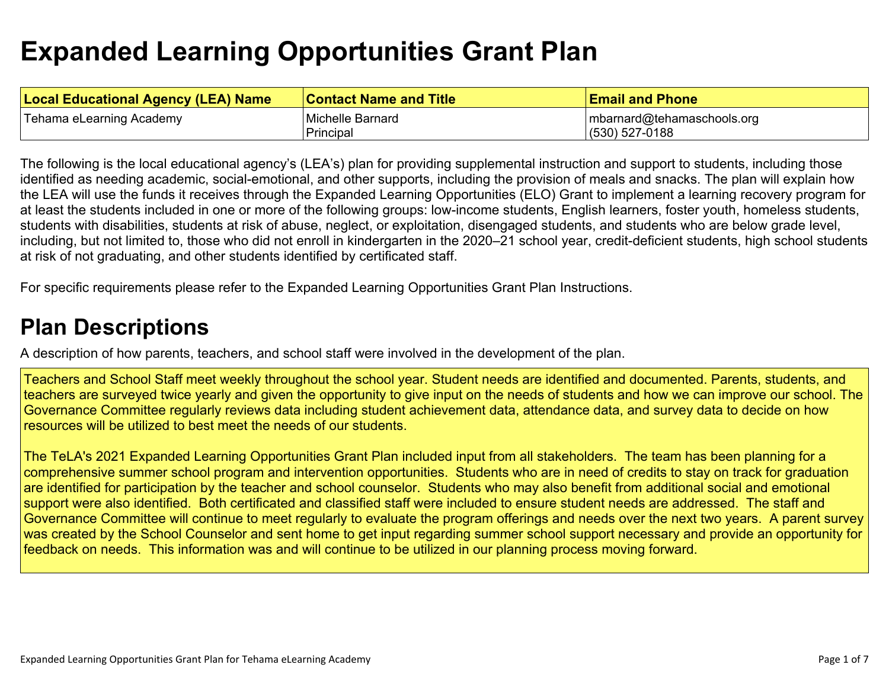# **Expanded Learning Opportunities Grant Plan**

| <b>Local Educational Agency (LEA) Name</b> | <b>Contact Name and Title</b> | <b>Email and Phone</b>     |
|--------------------------------------------|-------------------------------|----------------------------|
| Tehama eLearning Academy                   | Michelle Barnard              | mbarnard@tehamaschools.org |
|                                            | Principal                     | (530) 527-0188             |

The following is the local educational agency's (LEA's) plan for providing supplemental instruction and support to students, including those identified as needing academic, social-emotional, and other supports, including the provision of meals and snacks. The plan will explain how the LEA will use the funds it receives through the Expanded Learning Opportunities (ELO) Grant to implement a learning recovery program for at least the students included in one or more of the following groups: low-income students, English learners, foster youth, homeless students, students with disabilities, students at risk of abuse, neglect, or exploitation, disengaged students, and students who are below grade level, including, but not limited to, those who did not enroll in kindergarten in the 2020–21 school year, credit-deficient students, high school students at risk of not graduating, and other students identified by certificated staff.

For specific requirements please refer to the Expanded Learning Opportunities Grant Plan Instructions.

### **Plan Descriptions**

A description of how parents, teachers, and school staff were involved in the development of the plan.

Teachers and School Staff meet weekly throughout the school year. Student needs are identified and documented. Parents, students, and teachers are surveyed twice yearly and given the opportunity to give input on the needs of students and how we can improve our school. The Governance Committee regularly reviews data including student achievement data, attendance data, and survey data to decide on how resources will be utilized to best meet the needs of our students.

The TeLA's 2021 Expanded Learning Opportunities Grant Plan included input from all stakeholders. The team has been planning for a comprehensive summer school program and intervention opportunities. Students who are in need of credits to stay on track for graduation are identified for participation by the teacher and school counselor. Students who may also benefit from additional social and emotional support were also identified. Both certificated and classified staff were included to ensure student needs are addressed. The staff and Governance Committee will continue to meet regularly to evaluate the program offerings and needs over the next two years. A parent survey was created by the School Counselor and sent home to get input regarding summer school support necessary and provide an opportunity for feedback on needs. This information was and will continue to be utilized in our planning process moving forward.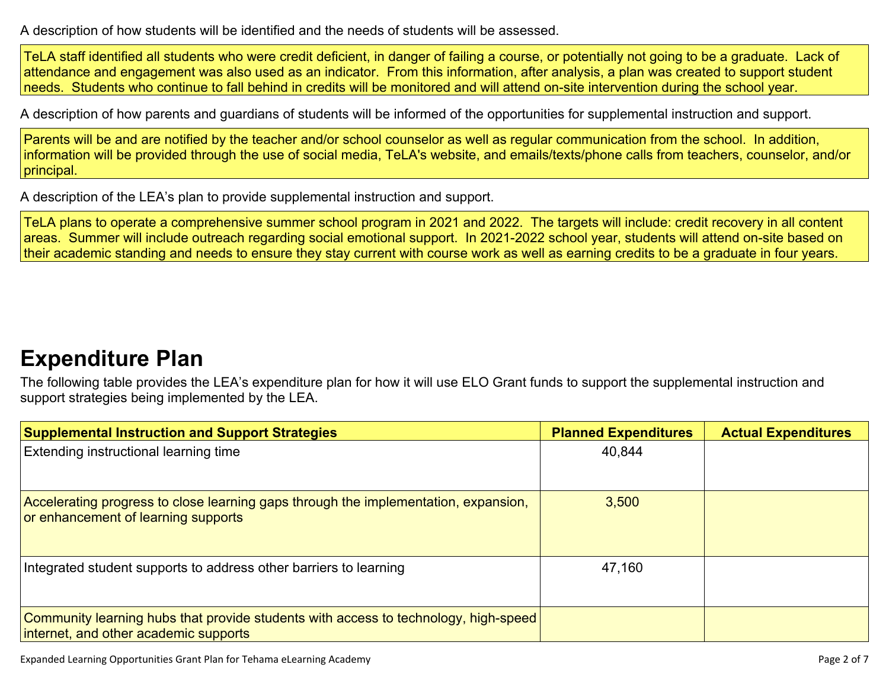A description of how students will be identified and the needs of students will be assessed.

TeLA staff identified all students who were credit deficient, in danger of failing a course, or potentially not going to be a graduate. Lack of attendance and engagement was also used as an indicator. From this information, after analysis, a plan was created to support student needs. Students who continue to fall behind in credits will be monitored and will attend on-site intervention during the school year.

A description of how parents and guardians of students will be informed of the opportunities for supplemental instruction and support.

Parents will be and are notified by the teacher and/or school counselor as well as regular communication from the school. In addition, information will be provided through the use of social media, TeLA's website, and emails/texts/phone calls from teachers, counselor, and/or principal.

A description of the LEA's plan to provide supplemental instruction and support.

TeLA plans to operate a comprehensive summer school program in 2021 and 2022. The targets will include: credit recovery in all content areas. Summer will include outreach regarding social emotional support. In 2021-2022 school year, students will attend on-site based on their academic standing and needs to ensure they stay current with course work as well as earning credits to be a graduate in four years.

### **Expenditure Plan**

The following table provides the LEA's expenditure plan for how it will use ELO Grant funds to support the supplemental instruction and support strategies being implemented by the LEA.

| <b>Supplemental Instruction and Support Strategies</b>                                                                       | <b>Planned Expenditures</b> | <b>Actual Expenditures</b> |
|------------------------------------------------------------------------------------------------------------------------------|-----------------------------|----------------------------|
| Extending instructional learning time                                                                                        | 40,844                      |                            |
| Accelerating progress to close learning gaps through the implementation, expansion,<br>or enhancement of learning supports   | 3,500                       |                            |
| Integrated student supports to address other barriers to learning                                                            | 47,160                      |                            |
| Community learning hubs that provide students with access to technology, high-speed<br>internet, and other academic supports |                             |                            |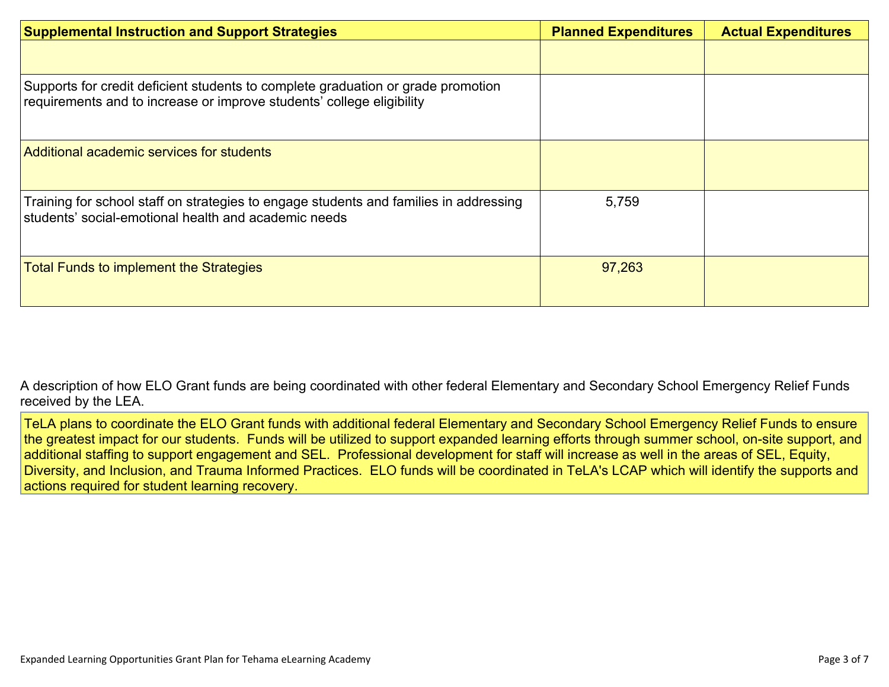| <b>Supplemental Instruction and Support Strategies</b>                                                                                                    | <b>Planned Expenditures</b> | <b>Actual Expenditures</b> |
|-----------------------------------------------------------------------------------------------------------------------------------------------------------|-----------------------------|----------------------------|
|                                                                                                                                                           |                             |                            |
| Supports for credit deficient students to complete graduation or grade promotion<br>requirements and to increase or improve students' college eligibility |                             |                            |
| Additional academic services for students                                                                                                                 |                             |                            |
| Training for school staff on strategies to engage students and families in addressing<br>students' social-emotional health and academic needs             | 5,759                       |                            |
| <b>Total Funds to implement the Strategies</b>                                                                                                            | 97,263                      |                            |

A description of how ELO Grant funds are being coordinated with other federal Elementary and Secondary School Emergency Relief Funds received by the LEA.

TeLA plans to coordinate the ELO Grant funds with additional federal Elementary and Secondary School Emergency Relief Funds to ensure the greatest impact for our students. Funds will be utilized to support expanded learning efforts through summer school, on-site support, and additional staffing to support engagement and SEL. Professional development for staff will increase as well in the areas of SEL, Equity, Diversity, and Inclusion, and Trauma Informed Practices. ELO funds will be coordinated in TeLA's LCAP which will identify the supports and actions required for student learning recovery.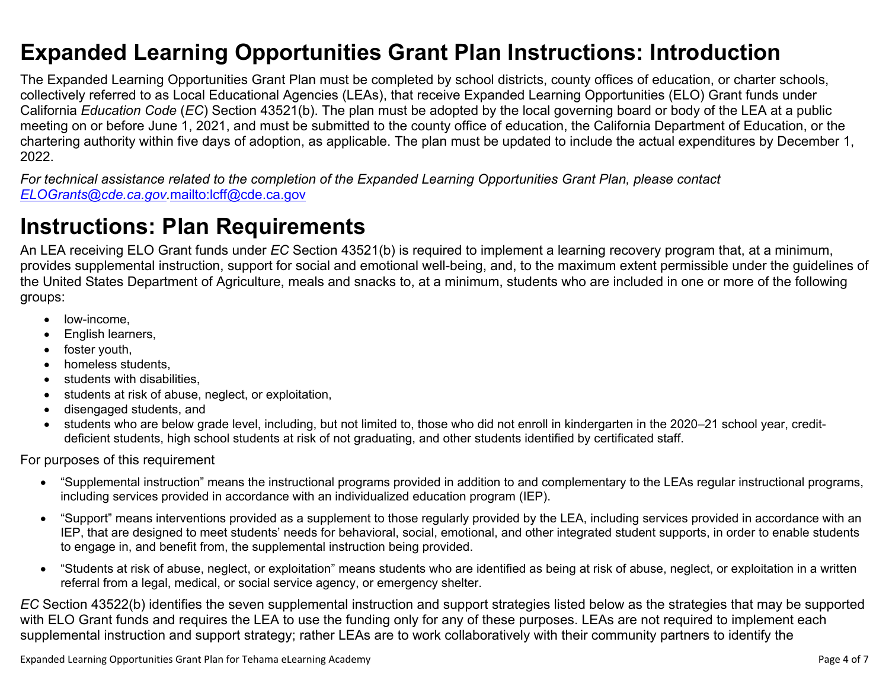### **Expanded Learning Opportunities Grant Plan Instructions: Introduction**

The Expanded Learning Opportunities Grant Plan must be completed by school districts, county offices of education, or charter schools, collectively referred to as Local Educational Agencies (LEAs), that receive Expanded Learning Opportunities (ELO) Grant funds under California *Education Code* (*EC*) Section 43521(b). The plan must be adopted by the local governing board or body of the LEA at a public meeting on or before June 1, 2021, and must be submitted to the county office of education, the California Department of Education, or the chartering authority within five days of adoption, as applicable. The plan must be updated to include the actual expenditures by December 1, 2022.

For technical assistance related to the completion of the Expanded Learning Opportunities Grant Plan, please contact *ELOGrants@cde.ca.gov.*mailto:lcff@cde.ca.gov

## **Instructions: Plan Requirements**

An LEA receiving ELO Grant funds under *EC* Section 43521(b) is required to implement a learning recovery program that, at a minimum, provides supplemental instruction, support for social and emotional well-being, and, to the maximum extent permissible under the guidelines of the United States Department of Agriculture, meals and snacks to, at a minimum, students who are included in one or more of the following groups:

- low-income.
- English learners,
- foster youth,
- homeless students,
- students with disabilities.
- students at risk of abuse, neglect, or exploitation,
- disengaged students, and
- students who are below grade level, including, but not limited to, those who did not enroll in kindergarten in the 2020–21 school year, creditdeficient students, high school students at risk of not graduating, and other students identified by certificated staff.

For purposes of this requirement

- "Supplemental instruction" means the instructional programs provided in addition to and complementary to the LEAs regular instructional programs, including services provided in accordance with an individualized education program (IEP).
- "Support" means interventions provided as a supplement to those regularly provided by the LEA, including services provided in accordance with an IEP, that are designed to meet students' needs for behavioral, social, emotional, and other integrated student supports, in order to enable students to engage in, and benefit from, the supplemental instruction being provided.
- "Students at risk of abuse, neglect, or exploitation" means students who are identified as being at risk of abuse, neglect, or exploitation in a written referral from a legal, medical, or social service agency, or emergency shelter.

*EC* Section 43522(b) identifies the seven supplemental instruction and support strategies listed below as the strategies that may be supported with ELO Grant funds and requires the LEA to use the funding only for any of these purposes. LEAs are not required to implement each supplemental instruction and support strategy; rather LEAs are to work collaboratively with their community partners to identify the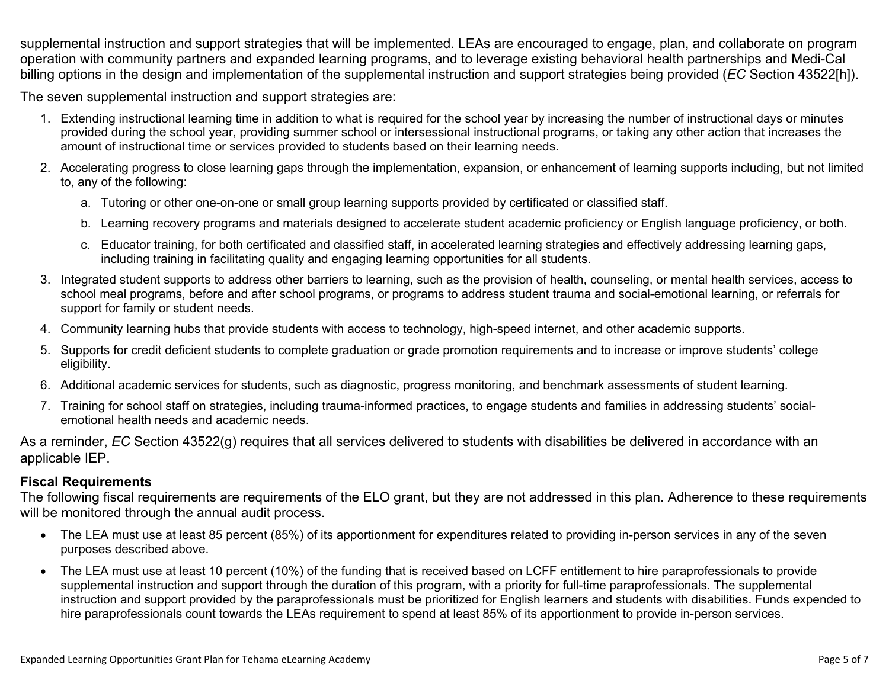supplemental instruction and support strategies that will be implemented. LEAs are encouraged to engage, plan, and collaborate on program operation with community partners and expanded learning programs, and to leverage existing behavioral health partnerships and Medi-Cal billing options in the design and implementation of the supplemental instruction and support strategies being provided (*EC* Section 43522[h]).

The seven supplemental instruction and support strategies are:

- 1. Extending instructional learning time in addition to what is required for the school year by increasing the number of instructional days or minutes provided during the school year, providing summer school or intersessional instructional programs, or taking any other action that increases the amount of instructional time or services provided to students based on their learning needs.
- 2. Accelerating progress to close learning gaps through the implementation, expansion, or enhancement of learning supports including, but not limited to, any of the following:
	- a. Tutoring or other one-on-one or small group learning supports provided by certificated or classified staff.
	- b. Learning recovery programs and materials designed to accelerate student academic proficiency or English language proficiency, or both.
	- c. Educator training, for both certificated and classified staff, in accelerated learning strategies and effectively addressing learning gaps, including training in facilitating quality and engaging learning opportunities for all students.
- 3. Integrated student supports to address other barriers to learning, such as the provision of health, counseling, or mental health services, access to school meal programs, before and after school programs, or programs to address student trauma and social-emotional learning, or referrals for support for family or student needs.
- 4. Community learning hubs that provide students with access to technology, high-speed internet, and other academic supports.
- 5. Supports for credit deficient students to complete graduation or grade promotion requirements and to increase or improve students' college eligibility.
- 6. Additional academic services for students, such as diagnostic, progress monitoring, and benchmark assessments of student learning.
- 7. Training for school staff on strategies, including trauma-informed practices, to engage students and families in addressing students' socialemotional health needs and academic needs.

As a reminder, *EC* Section 43522(g) requires that all services delivered to students with disabilities be delivered in accordance with an applicable IEP.

#### **Fiscal Requirements**

The following fiscal requirements are requirements of the ELO grant, but they are not addressed in this plan. Adherence to these requirements will be monitored through the annual audit process.

- The LEA must use at least 85 percent (85%) of its apportionment for expenditures related to providing in-person services in any of the seven purposes described above.
- The LEA must use at least 10 percent (10%) of the funding that is received based on LCFF entitlement to hire paraprofessionals to provide supplemental instruction and support through the duration of this program, with a priority for full-time paraprofessionals. The supplemental instruction and support provided by the paraprofessionals must be prioritized for English learners and students with disabilities. Funds expended to hire paraprofessionals count towards the LEAs requirement to spend at least 85% of its apportionment to provide in-person services.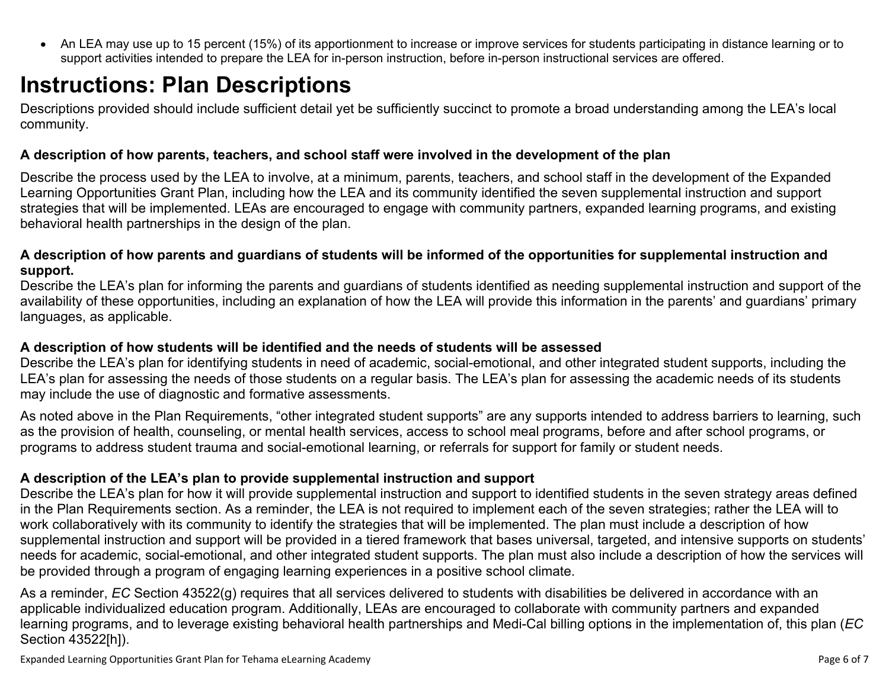An LEA may use up to 15 percent (15%) of its apportionment to increase or improve services for students participating in distance learning or to support activities intended to prepare the LEA for in-person instruction, before in-person instructional services are offered.

# **Instructions: Plan Descriptions**

Descriptions provided should include sufficient detail yet be sufficiently succinct to promote a broad understanding among the LEA's local community.

#### **A description of how parents, teachers, and school staff were involved in the development of the plan**

Describe the process used by the LEA to involve, at a minimum, parents, teachers, and school staff in the development of the Expanded Learning Opportunities Grant Plan, including how the LEA and its community identified the seven supplemental instruction and support strategies that will be implemented. LEAs are encouraged to engage with community partners, expanded learning programs, and existing behavioral health partnerships in the design of the plan.

#### A description of how parents and guardians of students will be informed of the opportunities for supplemental instruction and **support.**

Describe the LEA's plan for informing the parents and guardians of students identified as needing supplemental instruction and support of the availability of these opportunities, including an explanation of how the LEA will provide this information in the parents' and guardians' primary languages, as applicable.

#### **A description of how students will be identified and the needs of students will be assessed**

Describe the LEA's plan for identifying students in need of academic, social-emotional, and other integrated student supports, including the LEA's plan for assessing the needs of those students on a regular basis. The LEA's plan for assessing the academic needs of its students may include the use of diagnostic and formative assessments.

As noted above in the Plan Requirements, "other integrated student supports" are any supports intended to address barriers to learning, such as the provision of health, counseling, or mental health services, access to school meal programs, before and after school programs, or programs to address student trauma and social-emotional learning, or referrals for support for family or student needs.

#### **A description of the LEA's plan to provide supplemental instruction and support**

Describe the LEA's plan for how it will provide supplemental instruction and support to identified students in the seven strategy areas defined in the Plan Requirements section. As a reminder, the LEA is not required to implement each of the seven strategies; rather the LEA will to work collaboratively with its community to identify the strategies that will be implemented. The plan must include a description of how supplemental instruction and support will be provided in a tiered framework that bases universal, targeted, and intensive supports on students' needs for academic, social-emotional, and other integrated student supports. The plan must also include a description of how the services will be provided through a program of engaging learning experiences in a positive school climate.

As a reminder, *EC* Section 43522(g) requires that all services delivered to students with disabilities be delivered in accordance with an applicable individualized education program. Additionally, LEAs are encouraged to collaborate with community partners and expanded learning programs, and to leverage existing behavioral health partnerships and Medi-Cal billing options in the implementation of, this plan (*EC* Section 43522[h]).